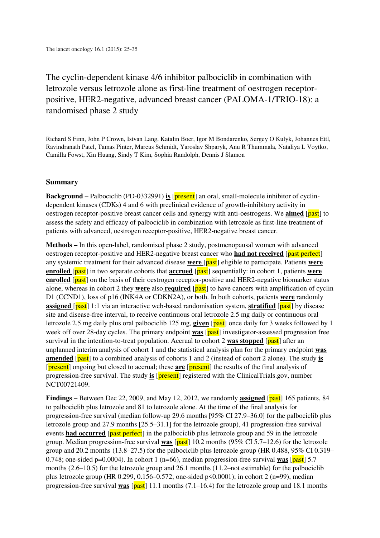The cyclin-dependent kinase 4/6 inhibitor palbociclib in combination with letrozole versus letrozole alone as first-line treatment of oestrogen receptorpositive, HER2-negative, advanced breast cancer (PALOMA-1/TRIO-18): a randomised phase 2 study

Richard S Finn, John P Crown, Istvan Lang, Katalin Boer, Igor M Bondarenko, Sergey O Kulyk, Johannes Ettl, Ravindranath Patel, Tamas Pinter, Marcus Schmidt, Yaroslav Shparyk, Anu R Thummala, Nataliya L Voytko, Camilla Fowst, Xin Huang, Sindy T Kim, Sophia Randolph, Dennis J Slamon

## **Summary**

**Background –** Palbociclib (PD-0332991) **is** [**present**] an oral, small-molecule inhibitor of cyclindependent kinases (CDKs) 4 and 6 with preclinical evidence of growth-inhibitory activity in oestrogen receptor-positive breast cancer cells and synergy with anti-oestrogens. We **aimed** [past] to assess the safety and efficacy of palbociclib in combination with letrozole as first-line treatment of patients with advanced, oestrogen receptor-positive, HER2-negative breast cancer.

**Methods –** In this open-label, randomised phase 2 study, postmenopausal women with advanced oestrogen receptor-positive and HER2-negative breast cancer who **had not received** [past perfect] any systemic treatment for their advanced disease **were** [past] eligible to participate. Patients **were enrolled** [past] in two separate cohorts that **accrued** [past] sequentially: in cohort 1, patients **were enrolled** [past] on the basis of their oestrogen receptor-positive and HER2-negative biomarker status alone, whereas in cohort 2 they **were** also **required** [past] to have cancers with amplification of cyclin D1 (CCND1), loss of p16 (INK4A or CDKN2A), or both. In both cohorts, patients **were** randomly **assigned** [past] 1:1 via an interactive web-based randomisation system, **stratified** [past] by disease site and disease-free interval, to receive continuous oral letrozole 2.5 mg daily or continuous oral letrozole 2.5 mg daily plus oral palbociclib 125 mg, **given** [past] once daily for 3 weeks followed by 1 week off over 28-day cycles. The primary endpoint **was** [past] investigator-assessed progression free survival in the intention-to-treat population. Accrual to cohort 2 was stopped [past] after an unplanned interim analysis of cohort 1 and the statistical analysis plan for the primary endpoint **was amended** [past] to a combined analysis of cohorts 1 and 2 (instead of cohort 2 alone). The study **is** [present] ongoing but closed to accrual; these **are** [present] the results of the final analysis of progression-free survival. The study **is** [present] registered with the ClinicalTrials.gov, number NCT00721409.

**Findings** – Between Dec 22, 2009, and May 12, 2012, we randomly **assigned** [past] 165 patients, 84 to palbociclib plus letrozole and 81 to letrozole alone. At the time of the final analysis for progression-free survival (median follow-up 29.6 months [95% CI 27.9–36.0] for the palbociclib plus letrozole group and 27.9 months [25.5–31.1] for the letrozole group), 41 progression-free survival events **had occurred** [past perfect] in the palbociclib plus letrozole group and 59 in the letrozole group. Median progression-free survival **was** [past] 10.2 months (95% CI 5.7–12.6) for the letrozole group and 20.2 months (13.8–27.5) for the palbociclib plus letrozole group (HR 0.488, 95% CI 0.319– 0.748; one-sided p=0.0004). In cohort 1 (n=66), median progression-free survival **was** [past] 5.7 months  $(2.6-10.5)$  for the letrozole group and 26.1 months  $(11.2 \text{--}$  not estimable) for the palbociclib plus letrozole group (HR 0.299, 0.156–0.572; one-sided  $p \le 0.0001$ ); in cohort 2 (n=99), median progression-free survival **was** [past] 11.1 months (7.1–16.4) for the letrozole group and 18.1 months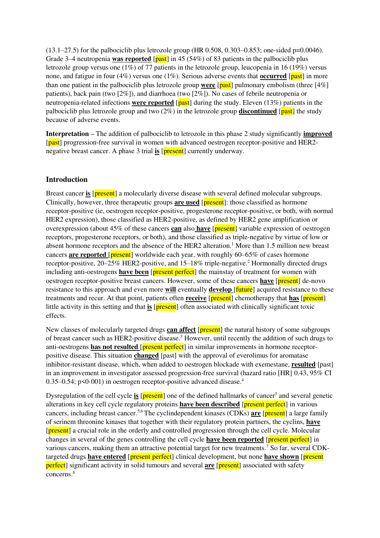$(13.1–27.5)$  for the palbociclib plus letrozole group (HR 0.508, 0.303–0.853; one-sided p=0.0046). Grade 3–4 neutropenia **was reported** [past] in 45 (54%) of 83 patients in the palbociclib plus letrozole group versus one (1%) of 77 patients in the letrozole group, leucopenia in 16 (19%) versus none, and fatigue in four (4%) versus one (1%). Serious adverse events that **occurred** [past] in more than one patient in the palbociclib plus letrozole group **were** [past] pulmonary embolism (three [4%] patients), back pain (two [2%]), and diarrhoea (two [2%]). No cases of febrile neutropenia or neutropenia-related infections **were reported** [past] during the study. Eleven (13%) patients in the palbociclib plus letrozole group and two (2%) in the letrozole group **discontinued** [past] the study because of adverse events.

**Interpretation –** The addition of palbociclib to letrozole in this phase 2 study significantly **improved** [past] progression-free survival in women with advanced oestrogen receptor-positive and HER2negative breast cancer. A phase 3 trial **is** [**present**] currently underway.

# **Introduction**

Breast cancer **is** [present] a molecularly diverse disease with several defined molecular subgroups. Clinically, however, three therapeutic groups **are used** [present]: those classified as hormone receptor-positive (ie, oestrogen receptor-positive, progesterone receptor-positive, or both, with normal HER2 expression), those classified as HER2-positive, as defined by HER2 gene amplification or overexpression (about 45% of these cancers **can** also **have** [present] variable expression of oestrogen receptors, progesterone receptors, or both), and those classified as triple-negative by virtue of low or absent hormone receptors and the absence of the HER2 alteration.<sup>1</sup> More than 1.5 million new breast cancers **are reported** [present] worldwide each year, with roughly 60–65% of cases hormone receptor-positive, 20–25% HER2-positive, and 15–18% triple-negative.<sup>2</sup> Hormonally directed drugs including anti-oestrogens **have been** [**present perfect**] the mainstay of treatment for women with oestrogen receptor-positive breast cancers. However, some of these cancers **have** [present] de-novo resistance to this approach and even more **will** eventually **develop** [future] acquired resistance to these treatments and recur. At that point, patients often **receive** [present] chemotherapy that **has** [present] little activity in this setting and that **is** [**present**] often associated with clinically significant toxic effects.

New classes of molecularly targeted drugs **can affect** [present] the natural history of some subgroups of breast cancer such as HER2-positive disease.<sup>3</sup> However, until recently the addition of such drugs to anti-oestrogens **has not resulted** [**present perfect**] in similar improvements in hormone receptorpositive disease. This situation **changed** [past] with the approval of everolimus for aromatase inhibitor-resistant disease, which, when added to oestrogen blockade with exemestane, **resulted** [past] in an improvement in investigator assessed progression-free survival (hazard ratio [HR] 0.43, 95% CI 0.35–0.54;  $p \le 0.001$ ) in oestrogen receptor-positive advanced disease.<sup>4</sup>

Dysregulation of the cell cycle is [present] one of the defined hallmarks of cancer<sup>5</sup> and several genetic alterations in key cell cycle regulatory proteins **have been described** [present perfect] in various cancers, including breast cancer.5,6 The cyclindependent kinases (CDKs) **are** [present] a large family of serinem threonine kinases that together with their regulatory protein partners, the cyclins, **have** [present] a crucial role in the orderly and controlled progression through the cell cycle. Molecular changes in several of the genes controlling the cell cycle **have been reported** [present perfect] in various cancers, making them an attractive potential target for new treatments.<sup>7</sup> So far, several CDKtargeted drugs **have entered** [present perfect] clinical development, but none **have shown** [present **perfect** significant activity in solid tumours and several **are** [**present**] associated with safety concerns<sup>8</sup>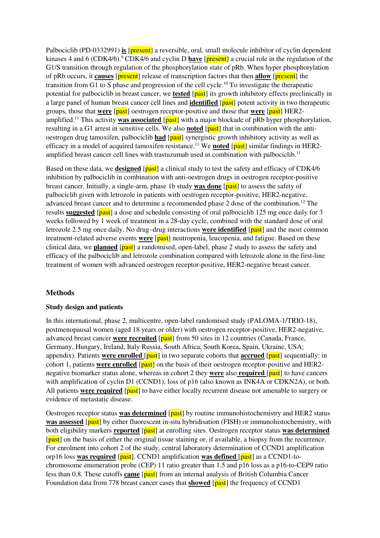Palbociclib (PD-0332991) **is** [present] a reversible, oral, small molecule inhibitor of cyclin dependent kinases 4 and 6 (CDK4/6).<sup>9</sup> CDK4/6 and cyclin D **have** [present] a crucial role in the regulation of the G1/S transition through regulation of the phosphorylation state of pRb. When hyper phosphorylation of pRb occurs, it **causes** [present] release of transcription factors that then **allow** [present] the transition from G1 to S phase and progression of the cell cycle.<sup>10</sup> To investigate the therapeutic potential for palbociclib in breast cancer, we **tested** [past] its growth inhibitory effects preclinically in a large panel of human breast cancer cell lines and **identified** [past] potent activity in two therapeutic groups, those that **were** [past] oestrogen receptor-positive and those that **were** [past] HER2 amplified.<sup>11</sup> This activity **was associated** [past] with a major blockade of pRb hyper phosphorylation, resulting in a G1 arrest in sensitive cells. We also **noted** [past] that in combination with the antioestrogen drug tamoxifen, palbociclib **had** [past] synergistic growth inhibitory activity as well as efficacy in a model of acquired tamoxifen resistance.<sup>11</sup> We **noted** [past] similar findings in HER2amplified breast cancer cell lines with trastuzumab used in combination with palbociclib.<sup>11</sup>

Based on these data, we **designed** [past] a clinical study to test the safety and efficacy of CDK4/6 inhibition by palbociclib in combination with anti-oestrogen drugs in oestrogen receptor-positive breast cancer. Initially, a single-arm, phase 1b study **was done** [past] to assess the safety of palbociclib given with letrozole in patients with oestrogen receptor-positive, HER2-negative, advanced breast cancer and to determine a recommended phase 2 dose of the combination.<sup>12</sup> The results **suggested** [past] a dose and schedule consisting of oral palbociclib 125 mg once daily for 3 weeks followed by 1 week of treatment in a 28-day cycle, combined with the standard dose of oral letrozole 2.5 mg once daily. No drug-drug interactions **were identified** [past] and the most common treatment-related adverse events **were** [past] neutropenia, leucopenia, and fatigue. Based on these clinical data, we **planned** [past] a randomised, open-label, phase 2 study to assess the safety and efficacy of the palbociclib and letrozole combination compared with letrozole alone in the first-line treatment of women with advanced oestrogen receptor-positive, HER2-negative breast cancer.

# **Methods**

# **Study design and patients**

In this international, phase 2, multicentre, open-label randomised study (PALOMA-1/TRIO-18), postmenopausal women (aged 18 years or older) with oestrogen receptor-positive, HER2-negative, advanced breast cancer **were recruited** [past] from 50 sites in 12 countries (Canada, France, Germany, Hungary, Ireland, Italy Russia, South Africa, South Korea, Spain, Ukraine, USA; appendix). Patients **were enrolled** [past] in two separate cohorts that **accrued** [past] sequentially: in cohort 1, patients **were enrolled** [past] on the basis of their oestrogen receptor-positive and HER2negative biomarker status alone, whereas in cohort 2 they **were** also **required** [past] to have cancers with amplification of cyclin D1 (CCND1), loss of p16 (also known as INK4A or CDKN2A), or both. All patients **were required** [past] to have either locally recurrent disease not amenable to surgery or evidence of metastatic disease.

Oestrogen receptor status **was determined** [past] by routine immunohistochemistry and HER2 status **was assessed** [past] by either fluorescent in-situ hybridisation (FISH) or immunohistochemistry, with both eligibility markers **reported** [past] at enrolling sites. Oestrogen receptor status **was determined** [past] on the basis of either the original tissue staining or, if available, a biopsy from the recurrence. For enrolment into cohort 2 of the study, central laboratory determination of CCND1 amplification orp16 loss **was required** [past]. CCND1 amplification **was defined** [past] as a CCND1-tochromosome enumeration probe (CEP) 11 ratio greater than 1.5 and p16 loss as a p16-to-CEP9 ratio less than 0.8. These cutoffs **came** [past] from an internal analysis of British Columbia Cancer Foundation data from 778 breast cancer cases that **showed** [past] the frequency of CCND1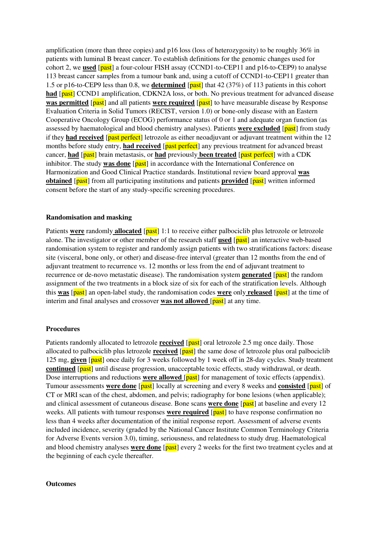amplification (more than three copies) and p16 loss (loss of heterozygosity) to be roughly 36% in patients with luminal B breast cancer. To establish definitions for the genomic changes used for cohort 2, we **used** [past] a four-colour FISH assay (CCND1-to-CEP11 and p16-to-CEP9) to analyse 113 breast cancer samples from a tumour bank and, using a cutoff of CCND1-to-CEP11 greater than 1.5 or p16-to-CEP9 less than 0.8, we **determined** [past] that 42 (37%) of 113 patients in this cohort had [past] CCND1 amplification, CDKN2A loss, or both. No previous treatment for advanced disease **was permitted** [past] and all patients **were required** [past] to have measurable disease by Response Evaluation Criteria in Solid Tumors (RECIST, version 1.0) or bone-only disease with an Eastern Cooperative Oncology Group (ECOG) performance status of 0 or 1 and adequate organ function (as assessed by haematological and blood chemistry analyses). Patients **were excluded** [past] from study if they **had received** [past perfect] letrozole as either neoadjuvant or adjuvant treatment within the 12 months before study entry, **had received** [past perfect] any previous treatment for advanced breast cancer, **had** [past] brain metastasis, or **had** previously **been treated** [past perfect] with a CDK inhibitor. The study **was done** [past] in accordance with the International Conference on Harmonization and Good Clinical Practice standards. Institutional review board approval **was obtained** [past] from all participating institutions and patients **provided** [past] written informed consent before the start of any study-specific screening procedures.

### **Randomisation and masking**

Patients **were** randomly **allocated** [past] 1:1 to receive either palbociclib plus letrozole or letrozole alone. The investigator or other member of the research staff **used** [past] an interactive web-based randomisation system to register and randomly assign patients with two stratifications factors: disease site (visceral, bone only, or other) and disease-free interval (greater than 12 months from the end of adjuvant treatment to recurrence vs. 12 months or less from the end of adjuvant treatment to recurrence or de-novo metastatic disease). The randomisation system **generated** [past] the random assignment of the two treatments in a block size of six for each of the stratification levels. Although this **was** [past] an open-label study, the randomisation codes **were** only **released** [past] at the time of interim and final analyses and crossover **was not allowed** [past] at any time.

### **Procedures**

Patients randomly allocated to letrozole **received** [past] oral letrozole 2.5 mg once daily. Those allocated to palbociclib plus letrozole **received** [past] the same dose of letrozole plus oral palbociclib 125 mg, **given** [past] once daily for 3 weeks followed by 1 week off in 28-day cycles. Study treatment **continued** [past] until disease progression, unacceptable toxic effects, study withdrawal, or death. Dose interruptions and reductions **were allowed** [past] for management of toxic effects (appendix). Tumour assessments **were done** [past] locally at screening and every 8 weeks and **consisted** [past] of CT or MRI scan of the chest, abdomen, and pelvis; radiography for bone lesions (when applicable); and clinical assessment of cutaneous disease. Bone scans **were done** [past] at baseline and every 12 weeks. All patients with tumour responses **were required** [past] to have response confirmation no less than 4 weeks after documentation of the initial response report. Assessment of adverse events included incidence, severity (graded by the National Cancer Institute Common Terminology Criteria for Adverse Events version 3.0), timing, seriousness, and relatedness to study drug. Haematological and blood chemistry analyses **were done** [past] every 2 weeks for the first two treatment cycles and at the beginning of each cycle thereafter.

#### **Outcomes**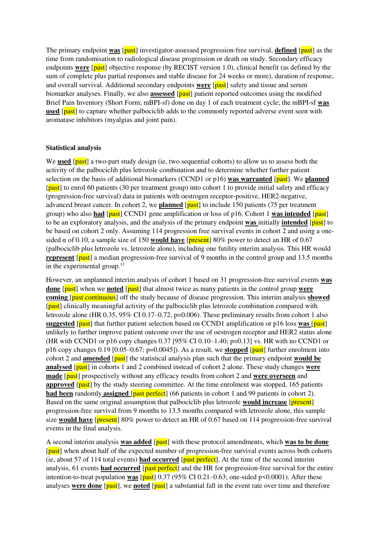The primary endpoint **was** [past] investigator-assessed progression-free survival, **defined** [past] as the time from randomisation to radiological disease progression or death on study. Secondary efficacy endpoints **were** [past] objective response (by RECIST version 1.0), clinical benefit (as defined by the sum of complete plus partial responses and stable disease for 24 weeks or more), duration of response, and overall survival. Additional secondary endpoints **were** [past] safety and tissue and serum biomarker analyses. Finally, we also **assessed** [past] patient reported outcomes using the modified Brief Pain Inventory (Short Form; mBPI-sf) done on day 1 of each treatment cycle; the mBPI-sf **was used** [past] to capture whether palbociclib adds to the commonly reported adverse event seen with aromatase inhibitors (myalgias and joint pain).

### **Statistical analysis**

We **used** [past] a two-part study design (ie, two sequential cohorts) to allow us to assess both the activity of the palbociclib plus letrozole combination and to determine whether further patient selection on the basis of additional biomarkers (CCND1 or p16) **was warranted** [past]. We **planned**  [past] to enrol 60 patients (30 per treatment group) into cohort 1 to provide initial safety and efficacy (progression-free survival) data in patients with oestrogen receptor-positive, HER2-negative, advanced breast cancer. In cohort 2, we **planned** [past] to include 150 patients (75 per treatment group) who also **had** [past] CCND1 gene amplification or loss of p16. Cohort 1 **was intended** [past] to be an exploratory analysis, and the analysis of the primary endpoint **was** initially **intended** [past] to be based on cohort 2 only. Assuming 114 progression free survival events in cohort 2 and using a onesided  $\alpha$  of 0.10, a sample size of 150 **would have** [present] 80% power to detect an HR of 0.67 (palbociclib plus letrozole vs. letrozole alone), including one futility interim analysis. This HR would **represent** [past] a median progression-free survival of 9 months in the control group and 13.5 months in the experimental group.<sup>13</sup>

However, an unplanned interim analysis of cohort 1 based on 31 progression-free survival events **was done** [past] when we **noted** [past] that almost twice as many patients in the control group **were coming** [past continuous] off the study because of disease progression. This interim analysis **showed** [past] clinically meaningful activity of the palbociclib plus letrozole combination compared with letrozole alone (HR 0.35, 95% CI 0.17–0.72, p=0.006). These preliminary results from cohort 1 also **suggested** [past] that further patient selection based on CCND1 amplification or p16 loss **was** [past] unlikely to further improve patient outcome over the use of oestrogen receptor and HER2 status alone (HR with CCND1 or p16 copy changes 0.37 [95% CI 0.10–1.40; p=0.13] vs. HR with no CCND1 or p16 copy changes 0.19 [0.05–0.67; p=0.0045]). As a result, we **stopped** [past] further enrolment into cohort 2 and **amended** [past] the statistical analysis plan such that the primary endpoint **would be analysed** [past] in cohorts 1 and 2 combined instead of cohort 2 alone. These study changes **were made** [past] prospectively without any efficacy results from cohort 2 and **were overseen** and **approved** [past] by the study steering committee. At the time enrolment was stopped, 165 patients **had been** randomly **assigned** [past perfect] (66 patients in cohort 1 and 99 patients in cohort 2). Based on the same original assumption that palbociclib plus letrozole **would increase** [present] progression-free survival from 9 months to 13.5 months compared with letrozole alone, this sample size **would have** [present] 80% power to detect an HR of 0.67 based on 114 progression-free survival events in the final analysis.

A second interim analysis **was added** [past] with these protocol amendments, which **was to be done** [past] when about half of the expected number of progression-free survival events across both cohorts (ie, about 57 of 114 total events) **had occurred** [past perfect]. At the time of the second interim analysis, 61 events **had occurred** [past perfect] and the HR for progression-free survival for the entire intention-to-treat population **was**  $\sqrt{past}$  0.37 (95% CI 0.21–0.63; one-sided p<0.0001). After these analyses **were done** [past], we **noted** [past] a substantial fall in the event rate over time and therefore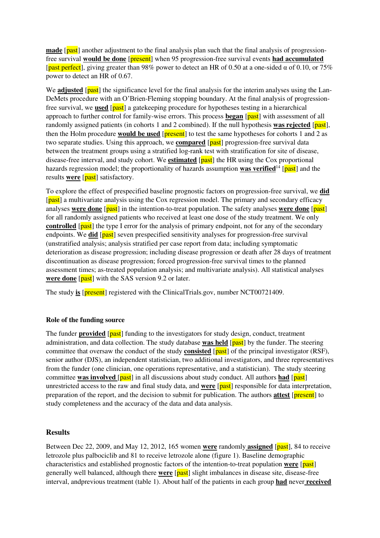**made** [past] another adjustment to the final analysis plan such that the final analysis of progressionfree survival **would be done** [present] when 95 progression-free survival events **had accumulated** [past perfect], giving greater than 98% power to detect an HR of 0.50 at a one-sided  $\alpha$  of 0.10, or 75% power to detect an HR of 0.67.

We **adjusted** [past] the significance level for the final analysis for the interim analyses using the Lan-DeMets procedure with an O'Brien-Fleming stopping boundary. At the final analysis of progressionfree survival, we **used** [past] a gatekeeping procedure for hypotheses testing in a hierarchical approach to further control for family-wise errors. This process **began** [past] with assessment of all randomly assigned patients (in cohorts 1 and 2 combined). If the null hypothesis **was rejected** [past], then the Holm procedure **would be used** [present] to test the same hypotheses for cohorts 1 and 2 as two separate studies. Using this approach, we **compared** [past] progression-free survival data between the treatment groups using a stratified log-rank test with stratification for site of disease, disease-free interval, and study cohort. We **estimated** [past] the HR using the Cox proportional hazards regression model; the proportionality of hazards assumption **was verified**<sup>14</sup> [past] and the results **were** [past] satisfactory.

To explore the effect of prespecified baseline prognostic factors on progression-free survival, we **did** [past] a multivariate analysis using the Cox regression model. The primary and secondary efficacy analyses **were done** [past] in the intention-to-treat population. The safety analyses **were done** [past] for all randomly assigned patients who received at least one dose of the study treatment. We only **controlled** [past] the type I error for the analysis of primary endpoint, not for any of the secondary endpoints. We **did** [past] seven prespecified sensitivity analyses for progression-free survival (unstratified analysis; analysis stratified per case report from data; including symptomatic deterioration as disease progression; including disease progression or death after 28 days of treatment discontinuation as disease progression; forced progression-free survival times to the planned assessment times; as-treated population analysis; and multivariate analysis). All statistical analyses **were done** [past] with the SAS version 9.2 or later.

The study **is** [**present**] registered with the ClinicalTrials.gov, number NCT00721409.

# **Role of the funding source**

The funder **provided** [past] funding to the investigators for study design, conduct, treatment administration, and data collection. The study database **was held** [past] by the funder. The steering committee that oversaw the conduct of the study **consisted** [past] of the principal investigator (RSF), senior author (DJS), an independent statistician, two additional investigators, and three representatives from the funder (one clinician, one operations representative, and a statistician). The study steering committee **was involved** [past] in all discussions about study conduct. All authors **had** [past] unrestricted access to the raw and final study data, and **were** [past] responsible for data interpretation, preparation of the report, and the decision to submit for publication. The authors **attest** [present] to study completeness and the accuracy of the data and data analysis.

# **Results**

Between Dec 22, 2009, and May 12, 2012, 165 women **were** randomly **assigned** [past], 84 to receive letrozole plus palbociclib and 81 to receive letrozole alone (figure 1). Baseline demographic characteristics and established prognostic factors of the intention-to-treat population **were** [past] generally well balanced, although there **were** [past] slight imbalances in disease site, disease-free interval, andprevious treatment (table 1). About half of the patients in each group **had** never **received**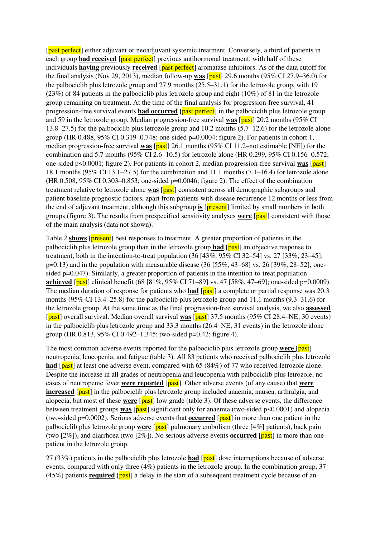[past perfect] either adjuvant or neoadjuvant systemic treatment. Conversely, a third of patients in each group **had received** [*past perfect*] previous antihormonal treatment, with half of these individuals **having** previously **received** [past perfect] aromatase inhibitors. As of the data cutoff for the final analysis (Nov 29, 2013), median follow-up **was** [past] 29.6 months (95% CI 27.9–36.0) for the palbociclib plus letrozole group and 27.9 months (25.5–31.1) for the letrozole group, with 19 (23%) of 84 patients in the palbociclib plus letrozole group and eight (10%) of 81 in the letrozole group remaining on treatment. At the time of the final analysis for progression-free survival, 41 progression-free survival events **had occurred** [past perfect] in the palbociclib plus letrozole group and 59 in the letrozole group. Median progression-free survival **was** [past] 20.2 months (95% CI 13.8–27.5) for the palbociclib plus letrozole group and 10.2 months (5.7–12.6) for the letrozole alone group (HR 0.488, 95% CI 0.319–0.748; one-sided p=0.0004; figure 2). For patients in cohort 1, median progression-free survival **was** [past] 26.1 months (95% CI 11.2–not estimable [NE]) for the combination and 5.7 months (95% CI 2.6–10.5) for letrozole alone (HR 0.299, 95% CI 0.156–0.572; one-sided p<0.0001; figure 2). For patients in cohort 2, median progression-free survival **was** [past] 18.1 months (95% CI 13.1–27.5) for the combination and 11.1 months (7.1–16.4) for letrozole alone (HR 0.508, 95% CI 0.303–0.853; one-sided  $p=0.0046$ ; figure 2). The effect of the combination treatment relative to letrozole alone **was** [past] consistent across all demographic subgroups and patient baseline prognostic factors, apart from patients with disease recurrence 12 months or less from the end of adjuvant treatment, although this subgroup **is** [present] limited by small numbers in both groups (figure 3). The results from prespecified sensitivity analyses **were** [past] consistent with those of the main analysis (data not shown).

Table 2 **shows** [present] best responses to treatment. A greater proportion of patients in the palbociclib plus letrozole group than in the letrozole group **had** [past] an objective response to treatment, both in the intention-to-treat population (36 [43%, 95% CI 32–54] vs. 27 [33%, 23–45];  $p=0.13$ ) and in the population with measurable disease (36 [55%, 43–68] vs. 26 [39%, 28–52]; onesided p=0.047). Similarly, a greater proportion of patients in the intention-to-treat population **achieved** [past] clinical benefit (68 [81%, 95% CI 71–89] vs. 47 [58%, 47–69]; one-sided p=0.0009). The median duration of response for patients who **had** [past] a complete or partial response was 20.3 months (95% CI 13.4–25.8) for the palbociclib plus letrozole group and 11.1 months (9.3–31.6) for the letrozole group. At the same time as the final progression-free survival analysis, we also **assessed** [past] overall survival. Median overall survival **was** [past] 37.5 months (95% CI 28.4–NE; 30 events) in the palbociclib plus letrozole group and 33.3 months (26.4–NE; 31 events) in the letrozole alone group (HR 0.813, 95% CI 0.492–1.345; two-sided p=0.42; figure 4).

The most common adverse events reported for the palbociclib plus letrozole group **were** [past] neutropenia, leucopenia, and fatigue (table 3). All 83 patients who received palbociclib plus letrozole **had** [past] at least one adverse event, compared with 65 (84%) of 77 who received letrozole alone. Despite the increase in all grades of neutropenia and leucopenia with palbociclib plus letrozole, no cases of neutropenic fever **were reported** [past]. Other adverse events (of any cause) that **were increased** [past] in the palbociclib plus letrozole group included anaemia, nausea, arthralgia, and alopecia, but most of these **were** [past] low grade (table 3). Of these adverse events, the difference between treatment groups **was** [past] significant only for anaemia (two-sided p<0.0001) and alopecia (two-sided  $p=0.0002$ ). Serious adverse events that **occurred** [ $\text{past}$ ] in more than one patient in the palbociclib plus letrozole group **were** [past] pulmonary embolism (three [4%] patients), back pain (two [2%]), and diarrhoea (two [2%]). No serious adverse events **occurred** [past] in more than one patient in the letrozole group.

27 (33%) patients in the palbociclib plus letrozole **had** [past] dose interruptions because of adverse events, compared with only three (4%) patients in the letrozole group. In the combination group, 37 (45%) patients **required** [past] a delay in the start of a subsequent treatment cycle because of an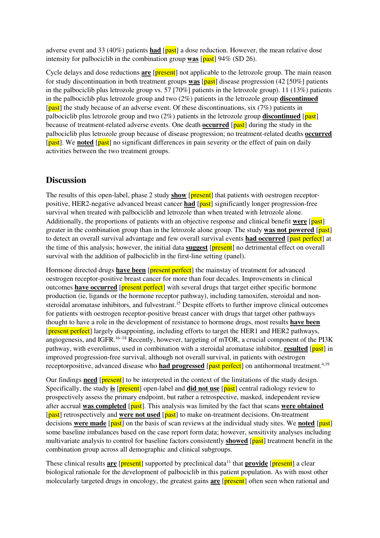adverse event and 33 (40%) patients **had** [past] a dose reduction. However, the mean relative dose intensity for palbociclib in the combination group **was** [past] 94% (SD 26).

Cycle delays and dose reductions **are** [present] not applicable to the letrozole group. The main reason for study discontinuation in both treatment groups **was** [past] disease progression (42 [50%] patients in the palbociclib plus letrozole group vs. 57 [70%] patients in the letrozole group). 11 (13%) patients in the palbociclib plus letrozole group and two (2%) patients in the letrozole group **discontinued** [past] the study because of an adverse event. Of these discontinuations, six (7%) patients in palbociclib plus letrozole group and two (2%) patients in the letrozole group **discontinued** [past] because of treatment-related adverse events. One death **occurred** [past] during the study in the palbociclib plus letrozole group because of disease progression; no treatment-related deaths **occurred** [past]. We noted [past] no significant differences in pain severity or the effect of pain on daily activities between the two treatment groups.

# **Discussion**

The results of this open-label, phase 2 study **show** [**present**] that patients with oestrogen receptorpositive, HER2-negative advanced breast cancer **had** [past] significantly longer progression-free survival when treated with palbociclib and letrozole than when treated with letrozole alone. Additionally, the proportions of patients with an objective response and clinical benefit **were** [past] greater in the combination group than in the letrozole alone group. The study **was not powered** [past] to detect an overall survival advantage and few overall survival events **had occurred** [past perfect] at the time of this analysis; however, the initial data **suggest** [present] no detrimental effect on overall survival with the addition of palbociclib in the first-line setting (panel).

Hormone directed drugs **have been** [present perfect] the mainstay of treatment for advanced oestrogen receptor-positive breast cancer for more than four decades. Improvements in clinical outcomes **have occurred** [**present perfect**] with several drugs that target either specific hormone production (ie, ligands or the hormone receptor pathway), including tamoxifen, steroidal and nonsteroidal aromatase inhibitors, and fulvestrant.<sup>15</sup> Despite efforts to further improve clinical outcomes for patients with oestrogen receptor-positive breast cancer with drugs that target other pathways thought to have a role in the development of resistance to hormone drugs, most results **have been** [present perfect] largely disappointing, including efforts to target the HER1 and HER2 pathways, angiogenesis, and IGFR.<sup>16–18</sup> Recently, however, targeting of mTOR, a crucial component of the PI3K pathway, with everolimus, used in combination with a steroidal aromatase inhibitor, **resulted** [past] in improved progression-free survival, although not overall survival, in patients with oestrogen receptorpositive, advanced disease who **had progressed** [past perfect] on antihormonal treatment.<sup>4,19</sup>

Our findings **need** [present] to be interpreted in the context of the limitations of the study design. Specifically, the study **is** [present] open-label and **did not use** [past] central radiology review to prospectively assess the primary endpoint, but rather a retrospective, masked, independent review after accrual **was completed** [past]. This analysis was limited by the fact that scans **were obtained** [past] retrospectively and **were not used** [past] to make on-treatment decisions. On-treatment decisions **were made** [past] on the basis of scan reviews at the individual study sites. We noted [past] some baseline imbalances based on the case report form data; however, sensitivity analyses including multivariate analysis to control for baseline factors consistently **showed** [past] treatment benefit in the combination group across all demographic and clinical subgroups.

These clinical results **are** [**present**] supported by preclinical data<sup>11</sup> that **provide** [**present**] a clear biological rationale for the development of palbociclib in this patient population. As with most other molecularly targeted drugs in oncology, the greatest gains **are** [present] often seen when rational and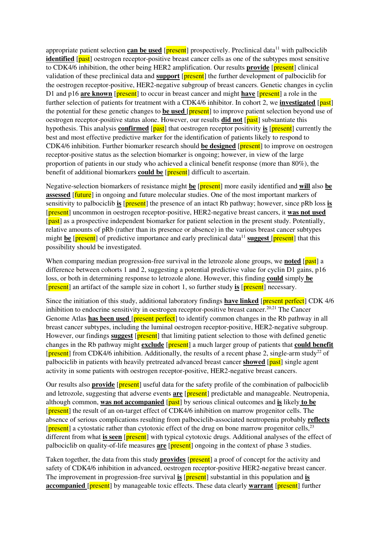appropriate patient selection **can be used** [ $present$ ] prospectively. Preclinical data<sup>11</sup> with palbociclib **identified** [past] oestrogen receptor-positive breast cancer cells as one of the subtypes most sensitive to CDK4/6 inhibition, the other being HER2 amplification. Our results **provide** [**present**] clinical validation of these preclinical data and **support** [present] the further development of palbociclib for the oestrogen receptor-positive, HER2-negative subgroup of breast cancers. Genetic changes in cyclin D1 and p16 **are known** [present] to occur in breast cancer and might **have** [present] a role in the further selection of patients for treatment with a CDK4/6 inhibitor. In cohort 2, we **investigated** [past] the potential for these genetic changes to **be used** [present] to improve patient selection beyond use of oestrogen receptor-positive status alone. However, our results **did not** [past] substantiate this hypothesis. This analysis **confirmed** [past] that oestrogen receptor positivity **is** [present] currently the best and most effective predictive marker for the identification of patients likely to respond to CDK4/6 inhibition. Further biomarker research should **be designed** [present] to improve on oestrogen receptor-positive status as the selection biomarker is ongoing; however, in view of the large proportion of patients in our study who achieved a clinical benefit response (more than 80%), the benefit of additional biomarkers **could be** [**present**] difficult to ascertain.

Negative-selection biomarkers of resistance might **be** [present] more easily identified and **will** also **be assessed** [**future**] in ongoing and future molecular studies. One of the most important markers of sensitivity to palbociclib **is** [present] the presence of an intact Rb pathway; however, since pRb loss **is** [present] uncommon in oestrogen receptor-positive, HER2-negative breast cancers, it **was not used** [past] as a prospective independent biomarker for patient selection in the present study. Potentially, relative amounts of pRb (rather than its presence or absence) in the various breast cancer subtypes might **be** [**present**] of predictive importance and early preclinical data<sup>11</sup> **suggest** [**present**] that this possibility should be investigated.

When comparing median progression-free survival in the letrozole alone groups, we **noted** [past] a difference between cohorts 1 and 2, suggesting a potential predictive value for cyclin D1 gains, p16 loss, or both in determining response to letrozole alone. However, this finding **could** simply **be** [present] an artifact of the sample size in cohort 1, so further study **is** [present] necessary.

Since the initiation of this study, additional laboratory findings **have linked** [present perfect] CDK 4/6 inhibition to endocrine sensitivity in oestrogen receptor-positive breast cancer.<sup>20,21</sup> The Cancer Genome Atlas **has been used** [**present perfect**] to identify common changes in the Rb pathway in all breast cancer subtypes, including the luminal oestrogen receptor-positive, HER2-negative subgroup. However, our findings **suggest** [**present**] that limiting patient selection to those with defined genetic changes in the Rb pathway might **exclude** [present] a much larger group of patients that **could benefit** [ $present$ ] from CDK4/6 inhibition. Additionally, the results of a recent phase 2, single-arm study<sup>22</sup> of palbociclib in patients with heavily pretreated advanced breast cancer **showed** [past] single agent activity in some patients with oestrogen receptor-positive, HER2-negative breast cancers.

Our results also **provide** [**present**] useful data for the safety profile of the combination of palbociclib and letrozole, suggesting that adverse events **are** [**present**] predictable and manageable. Neutropenia, although common, was **not accompanied** [past] by serious clinical outcomes and is likely to be [present] the result of an on-target effect of CDK4/6 inhibition on marrow progenitor cells. The absence of serious complications resulting from palbociclib-associated neutropenia probably **reflects** [present] a cytostatic rather than cytotoxic effect of the drug on bone marrow progenitor cells,<sup>23</sup> different from what **is seen** [present] with typical cytotoxic drugs. Additional analyses of the effect of palbociclib on quality-of-life measures **are** [present] ongoing in the context of phase 3 studies.

Taken together, the data from this study **provides** [**present**] a proof of concept for the activity and safety of CDK4/6 inhibition in advanced, oestrogen receptor-positive HER2-negative breast cancer. The improvement in progression-free survival **is** [**present**] substantial in this population and **is accompanied** [**present**] by manageable toxic effects. These data clearly **warrant** [**present**] further